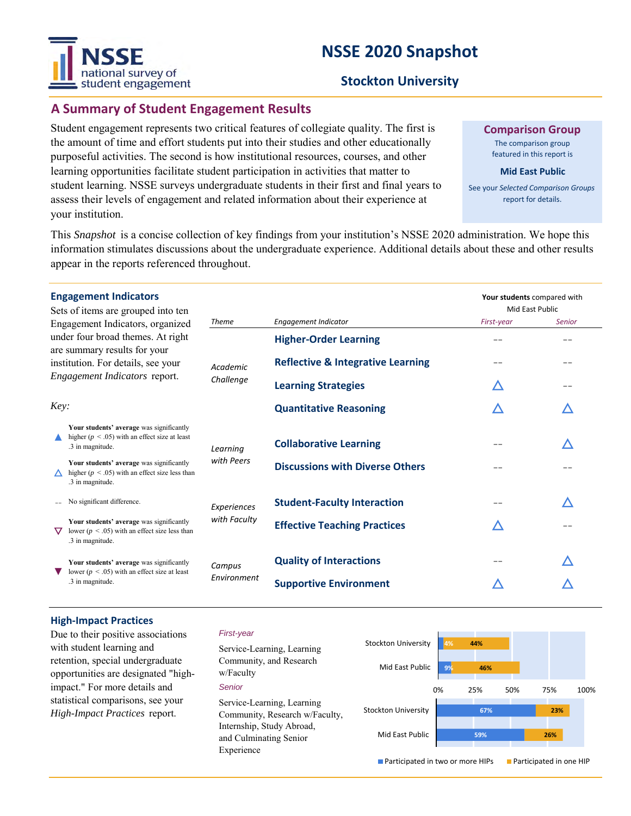# national survey of student engagement

# **NSSE 2020 Snapshot**

# **Stockton University**

# **A Summary of Student Engagement Results**

Student engagement represents two critical features of collegiate quality. The first is the amount of time and effort students put into their studies and other educationally purposeful activities. The second is how institutional resources, courses, and other learning opportunities facilitate student participation in activities that matter to student learning. NSSE surveys undergraduate students in their first and final years to assess their levels of engagement and related information about their experience at your institution.

**Comparison Group**

The comparison group featured in this report is

#### **Mid East Public**

See your *Selected Comparison Groups*  report for details.

Mid East Public

**Your students** compared with

This *Snapshot* is a concise collection of key findings from your institution's NSSE 2020 administration. We hope this information stimulates discussions about the undergraduate experience. Additional details about these and other results appear in the reports referenced throughout.

#### **Engagement Indicators**

Sets of items are grouped into ten Engagement Indicators, organized under four broad themes. At right are summary results for your institution. For details, see your *Engagement Indicators* report. *Challenge*

| $\frac{1}{2}$                                                                                                      | <b>Theme</b>                                                                                                                                                                         | Engagement Indicator                         | First-year | <b>Senior</b> |
|--------------------------------------------------------------------------------------------------------------------|--------------------------------------------------------------------------------------------------------------------------------------------------------------------------------------|----------------------------------------------|------------|---------------|
|                                                                                                                    | Academic<br>Challenge                                                                                                                                                                | <b>Higher-Order Learning</b>                 |            |               |
|                                                                                                                    |                                                                                                                                                                                      | <b>Reflective &amp; Integrative Learning</b> |            | --            |
|                                                                                                                    |                                                                                                                                                                                      | <b>Learning Strategies</b>                   | ╱          | --            |
|                                                                                                                    |                                                                                                                                                                                      | <b>Quantitative Reasoning</b>                | ╱          |               |
| Your students' average was significantly<br>higher ( $p < .05$ ) with an effect size at least<br>.3 in magnitude.  | Learning                                                                                                                                                                             | <b>Collaborative Learning</b>                |            |               |
| Your students' average was significantly<br>higher ( $p < .05$ ) with an effect size less than<br>.3 in magnitude. | with Peers                                                                                                                                                                           | <b>Discussions with Diverse Others</b>       |            |               |
| No significant difference.                                                                                         | Experiences<br>with Faculty                                                                                                                                                          | <b>Student-Faculty Interaction</b>           |            |               |
| Your students' average was significantly<br>lower ( $p < .05$ ) with an effect size less than<br>.3 in magnitude.  |                                                                                                                                                                                      | <b>Effective Teaching Practices</b>          | ╱          |               |
| Your students' average was significantly<br>lower ( $p < .05$ ) with an effect size at least<br>.3 in magnitude.   | Campus<br>Environment                                                                                                                                                                | <b>Quality of Interactions</b>               |            |               |
|                                                                                                                    |                                                                                                                                                                                      | <b>Supportive Environment</b>                |            |               |
| ▽                                                                                                                  | Engagement Indicators, organized<br>under four broad themes. At right<br>are summary results for your<br>institution. For details, see your<br>Engagement Indicators report.<br>Key: |                                              |            |               |

#### **High-Impact Practices**

Due to their positive associations with student learning and retention, special undergraduate opportunities are designated "highimpact." For more details and statistical comparisons, see your *High-Impact Practices* report.

#### *First-year*

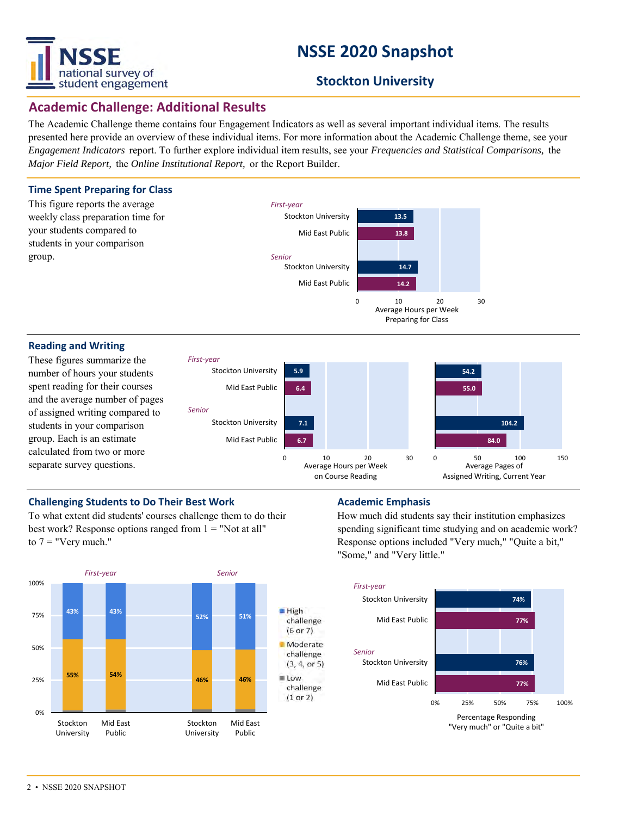

# **NSSE 2020 Snapshot**

# **Stockton University**

# **Academic Challenge: Additional Results**

The Academic Challenge theme contains four Engagement Indicators as well as several important individual items. The results presented here provide an overview of these individual items. For more information about the Academic Challenge theme, see your *Engagement Indicators* report. To further explore individual item results, see your *Frequencies and Statistical Comparisons,* the *Major Field Report,* the *Online Institutional Report,* or the Report Builder.

### **Time Spent Preparing for Class**



#### **Reading and Writing**

These figures summarize the number of hours your students spent reading for their courses and the average number of pages of assigned writing compared to students in your comparison group. Each is an estimate calculated from two or more separate survey questions.



Average Hours per Week Preparing for Class

### **Challenging Students to Do Their Best Work <b>Academic Emphasis Academic Emphasis**

To what extent did students' courses challenge them to do their best work? Response options ranged from  $1 =$  "Not at all" to  $7 =$  "Very much."



How much did students say their institution emphasizes spending significant time studying and on academic work? Response options included "Very much," "Quite a bit," "Some," and "Very little."

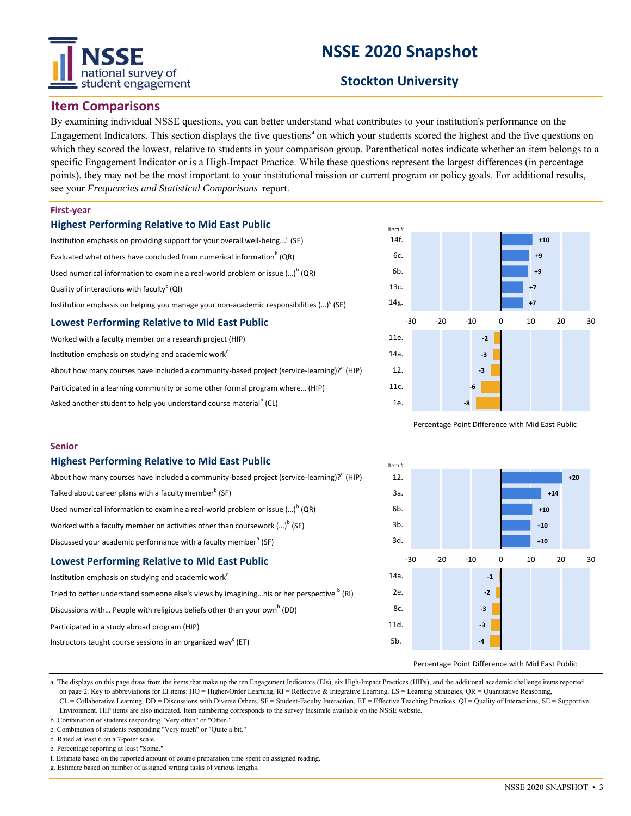# national survey of student engagement

# **NSSE 2020 Snapshot**

# **Stockton University**

## **Item Comparisons**

By examining individual NSSE questions, you can better understand what contributes to your institution's performance on the Engagement Indicators. This section displays the five questions<sup>a</sup> on which your students scored the highest and the five questions on which they scored the lowest, relative to students in your comparison group. Parenthetical notes indicate whether an item belongs to a specific Engagement Indicator or is a High-Impact Practice. While these questions represent the largest differences (in percentage points), they may not be the most important to your institutional mission or current program or policy goals. For additional results, see your *Frequencies and Statistical Comparisons* report.

#### **First-year**

**Senior**

#### **Highest Performing Relative to Mid East Public**

**Highest Performing Relative to Mid East Public**

Discussed your academic performance with a faculty member<sup>b</sup> (SF) **Lowest Performing Relative to Mid East Public**

Discussions with... People with religious beliefs other than your own<sup>b</sup> (DD)

Talked about career plans with a faculty member $^{\rm b}$  (SF)

Institution emphasis on studying and academic work<sup>c</sup>

Participated in a study abroad program (HIP)

| Institution emphasis on providing support for your overall well-being <sup>c</sup> (SE)   |  |  |  |  |  |
|-------------------------------------------------------------------------------------------|--|--|--|--|--|
| Evaluated what others have concluded from numerical information <sup>b</sup> (QR)         |  |  |  |  |  |
| Used numerical information to examine a real-world problem or issue $()^{6}$ (QR)         |  |  |  |  |  |
| Quality of interactions with faculty <sup>d</sup> (QI)                                    |  |  |  |  |  |
| Institution emphasis on helping you manage your non-academic responsibilities $()^c$ (SE) |  |  |  |  |  |
| <b>Lowest Performing Relative to Mid East Public</b>                                      |  |  |  |  |  |
| Worked with a faculty member on a research project (HIP)                                  |  |  |  |  |  |

| Worked with a faculty member on a research project (HIP)                                              |
|-------------------------------------------------------------------------------------------------------|
| Institution emphasis on studying and academic work <sup>c</sup>                                       |
| About how many courses have included a community-based project (service-learning)? <sup>e</sup> (HIP) |
| Participated in a learning community or some other formal program where (HIP)                         |
| Asked another student to help you understand course material <sup>p</sup> (CL)                        |

About how many courses have included a community-based project (service-learning)?<sup>e</sup> (HIP)

Tried to better understand someone else's views by imagining...his or her perspective  $^{\text{b}}$  (RI)

Used numerical information to examine a real-world problem or issue (...)<sup>b</sup> (QR) Worked with a faculty member on activities other than coursework (...) $^{\text{b}}$  (SF)



Percentage Point Difference with Mid East Public



#### Percentage Point Difference with Mid East Public

a. The displays on this page draw from the items that make up the ten Engagement Indicators (EIs), six High-Impact Practices (HIPs), and the additional academic challenge items reported on page 2. Key to abbreviations for EI items: HO = Higher-Order Learning, RI = Reflective & Integrative Learning, LS = Learning Strategies, QR = Quantitative Reasoning, CL = Collaborative Learning, DD = Discussions with Diverse Others, SF = Student-Faculty Interaction, ET = Effective Teaching Practices, QI = Quality of Interactions, SE = Supportive Environment. HIP items are also indicated. Item numbering corresponds to the survey facsimile available on the NSSE website.

b. Combination of students responding "Very often" or "Often."

Instructors taught course sessions in an organized way<sup>c</sup> (ET)

c. Combination of students responding "Very much" or "Quite a bit."

d. Rated at least 6 on a 7-point scale.

e. Percentage reporting at least "Some."

```
f. Estimate based on the reported amount of course preparation time spent on assigned reading.
```
g. Estimate based on number of assigned writing tasks of various lengths.